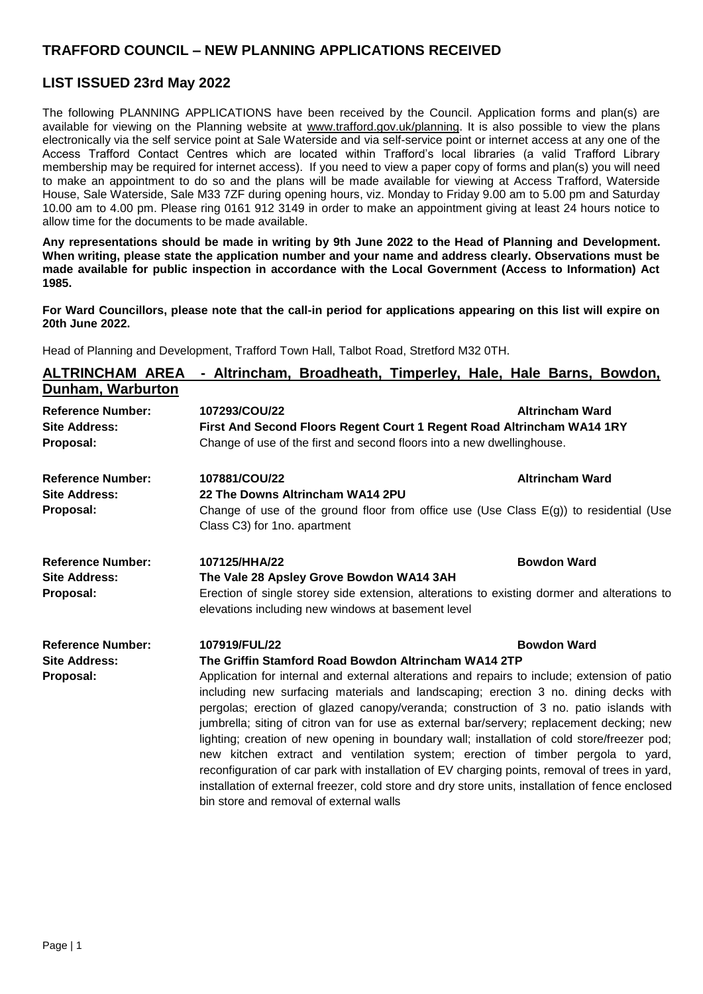## **TRAFFORD COUNCIL – NEW PLANNING APPLICATIONS RECEIVED**

### **LIST ISSUED 23rd May 2022**

The following PLANNING APPLICATIONS have been received by the Council. Application forms and plan(s) are available for viewing on the Planning website at [www.trafford.gov.uk/planning.](http://www.trafford.gov.uk/planning) It is also possible to view the plans electronically via the self service point at Sale Waterside and via self-service point or internet access at any one of the Access Trafford Contact Centres which are located within Trafford's local libraries (a valid Trafford Library membership may be required for internet access). If you need to view a paper copy of forms and plan(s) you will need to make an appointment to do so and the plans will be made available for viewing at Access Trafford, Waterside House, Sale Waterside, Sale M33 7ZF during opening hours, viz. Monday to Friday 9.00 am to 5.00 pm and Saturday 10.00 am to 4.00 pm. Please ring 0161 912 3149 in order to make an appointment giving at least 24 hours notice to allow time for the documents to be made available.

**Any representations should be made in writing by 9th June 2022 to the Head of Planning and Development. When writing, please state the application number and your name and address clearly. Observations must be made available for public inspection in accordance with the Local Government (Access to Information) Act 1985.**

**For Ward Councillors, please note that the call-in period for applications appearing on this list will expire on 20th June 2022.**

Head of Planning and Development, Trafford Town Hall, Talbot Road, Stretford M32 0TH.

| <b>ALTRINCHAM AREA</b>                                        | - Altrincham, Broadheath, Timperley, Hale, Hale Barns, Bowdon,                                                                                                                                                                                                                                                                                                                                                                                                                                                                                                                                                                                                                                                                                                                                                                                                                        |                        |
|---------------------------------------------------------------|---------------------------------------------------------------------------------------------------------------------------------------------------------------------------------------------------------------------------------------------------------------------------------------------------------------------------------------------------------------------------------------------------------------------------------------------------------------------------------------------------------------------------------------------------------------------------------------------------------------------------------------------------------------------------------------------------------------------------------------------------------------------------------------------------------------------------------------------------------------------------------------|------------------------|
| Dunham, Warburton                                             |                                                                                                                                                                                                                                                                                                                                                                                                                                                                                                                                                                                                                                                                                                                                                                                                                                                                                       |                        |
| <b>Reference Number:</b><br><b>Site Address:</b><br>Proposal: | 107293/COU/22<br>First And Second Floors Regent Court 1 Regent Road Altrincham WA14 1RY<br>Change of use of the first and second floors into a new dwellinghouse.                                                                                                                                                                                                                                                                                                                                                                                                                                                                                                                                                                                                                                                                                                                     | <b>Altrincham Ward</b> |
| <b>Reference Number:</b><br><b>Site Address:</b><br>Proposal: | 107881/COU/22<br>22 The Downs Altrincham WA14 2PU<br>Change of use of the ground floor from office use (Use Class $E(g)$ ) to residential (Use<br>Class C3) for 1no. apartment                                                                                                                                                                                                                                                                                                                                                                                                                                                                                                                                                                                                                                                                                                        | <b>Altrincham Ward</b> |
| <b>Reference Number:</b><br><b>Site Address:</b><br>Proposal: | 107125/HHA/22<br>The Vale 28 Apsley Grove Bowdon WA14 3AH<br>Erection of single storey side extension, alterations to existing dormer and alterations to<br>elevations including new windows at basement level                                                                                                                                                                                                                                                                                                                                                                                                                                                                                                                                                                                                                                                                        | <b>Bowdon Ward</b>     |
| <b>Reference Number:</b><br><b>Site Address:</b><br>Proposal: | 107919/FUL/22<br>The Griffin Stamford Road Bowdon Altrincham WA14 2TP<br>Application for internal and external alterations and repairs to include; extension of patio<br>including new surfacing materials and landscaping; erection 3 no. dining decks with<br>pergolas; erection of glazed canopy/veranda; construction of 3 no. patio islands with<br>jumbrella; siting of citron van for use as external bar/servery; replacement decking; new<br>lighting; creation of new opening in boundary wall; installation of cold store/freezer pod;<br>new kitchen extract and ventilation system; erection of timber pergola to yard,<br>reconfiguration of car park with installation of EV charging points, removal of trees in yard,<br>installation of external freezer, cold store and dry store units, installation of fence enclosed<br>bin store and removal of external walls | <b>Bowdon Ward</b>     |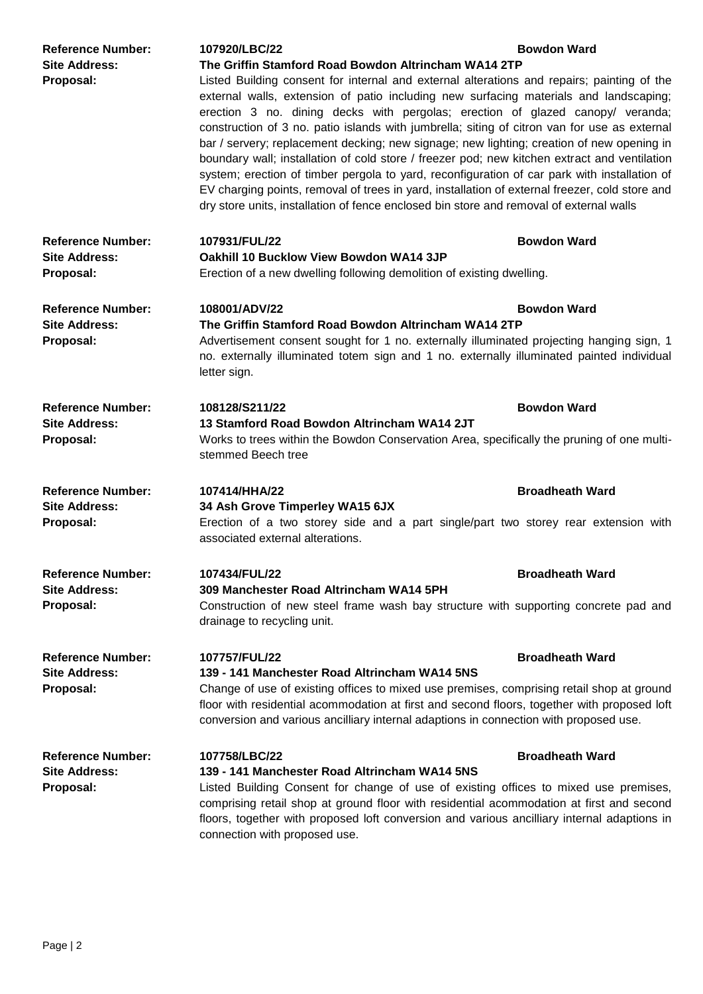| <b>Reference Number:</b><br><b>Site Address:</b><br>Proposal: | 107920/LBC/22<br>The Griffin Stamford Road Bowdon Altrincham WA14 2TP<br>Listed Building consent for internal and external alterations and repairs; painting of the<br>external walls, extension of patio including new surfacing materials and landscaping;<br>erection 3 no. dining decks with pergolas; erection of glazed canopy/ veranda;<br>construction of 3 no. patio islands with jumbrella; siting of citron van for use as external<br>bar / servery; replacement decking; new signage; new lighting; creation of new opening in<br>boundary wall; installation of cold store / freezer pod; new kitchen extract and ventilation<br>system; erection of timber pergola to yard, reconfiguration of car park with installation of<br>EV charging points, removal of trees in yard, installation of external freezer, cold store and<br>dry store units, installation of fence enclosed bin store and removal of external walls | <b>Bowdon Ward</b>     |
|---------------------------------------------------------------|------------------------------------------------------------------------------------------------------------------------------------------------------------------------------------------------------------------------------------------------------------------------------------------------------------------------------------------------------------------------------------------------------------------------------------------------------------------------------------------------------------------------------------------------------------------------------------------------------------------------------------------------------------------------------------------------------------------------------------------------------------------------------------------------------------------------------------------------------------------------------------------------------------------------------------------|------------------------|
| <b>Reference Number:</b><br><b>Site Address:</b><br>Proposal: | 107931/FUL/22<br>Oakhill 10 Bucklow View Bowdon WA14 3JP<br>Erection of a new dwelling following demolition of existing dwelling.                                                                                                                                                                                                                                                                                                                                                                                                                                                                                                                                                                                                                                                                                                                                                                                                        | <b>Bowdon Ward</b>     |
| <b>Reference Number:</b><br><b>Site Address:</b><br>Proposal: | 108001/ADV/22<br><b>Bowdon Ward</b><br>The Griffin Stamford Road Bowdon Altrincham WA14 2TP<br>Advertisement consent sought for 1 no. externally illuminated projecting hanging sign, 1<br>no. externally illuminated totem sign and 1 no. externally illuminated painted individual<br>letter sign.                                                                                                                                                                                                                                                                                                                                                                                                                                                                                                                                                                                                                                     |                        |
| <b>Reference Number:</b><br>Site Address:<br>Proposal:        | 108128/S211/22<br>13 Stamford Road Bowdon Altrincham WA14 2JT<br>Works to trees within the Bowdon Conservation Area, specifically the pruning of one multi-<br>stemmed Beech tree                                                                                                                                                                                                                                                                                                                                                                                                                                                                                                                                                                                                                                                                                                                                                        | <b>Bowdon Ward</b>     |
| <b>Reference Number:</b><br>Site Address:<br>Proposal:        | 107414/HHA/22<br>34 Ash Grove Timperley WA15 6JX<br>Erection of a two storey side and a part single/part two storey rear extension with<br>associated external alterations.                                                                                                                                                                                                                                                                                                                                                                                                                                                                                                                                                                                                                                                                                                                                                              | <b>Broadheath Ward</b> |
| <b>Reference Number:</b><br><b>Site Address:</b><br>Proposal: | 107434/FUL/22<br>309 Manchester Road Altrincham WA14 5PH<br>Construction of new steel frame wash bay structure with supporting concrete pad and<br>drainage to recycling unit.                                                                                                                                                                                                                                                                                                                                                                                                                                                                                                                                                                                                                                                                                                                                                           | <b>Broadheath Ward</b> |
| <b>Reference Number:</b><br><b>Site Address:</b><br>Proposal: | 107757/FUL/22<br>139 - 141 Manchester Road Altrincham WA14 5NS<br>Change of use of existing offices to mixed use premises, comprising retail shop at ground<br>floor with residential acommodation at first and second floors, together with proposed loft<br>conversion and various ancilliary internal adaptions in connection with proposed use.                                                                                                                                                                                                                                                                                                                                                                                                                                                                                                                                                                                      | <b>Broadheath Ward</b> |
| <b>Reference Number:</b><br><b>Site Address:</b><br>Proposal: | 107758/LBC/22<br>139 - 141 Manchester Road Altrincham WA14 5NS<br>Listed Building Consent for change of use of existing offices to mixed use premises,<br>comprising retail shop at ground floor with residential acommodation at first and second<br>floors, together with proposed loft conversion and various ancilliary internal adaptions in<br>connection with proposed use.                                                                                                                                                                                                                                                                                                                                                                                                                                                                                                                                                       | <b>Broadheath Ward</b> |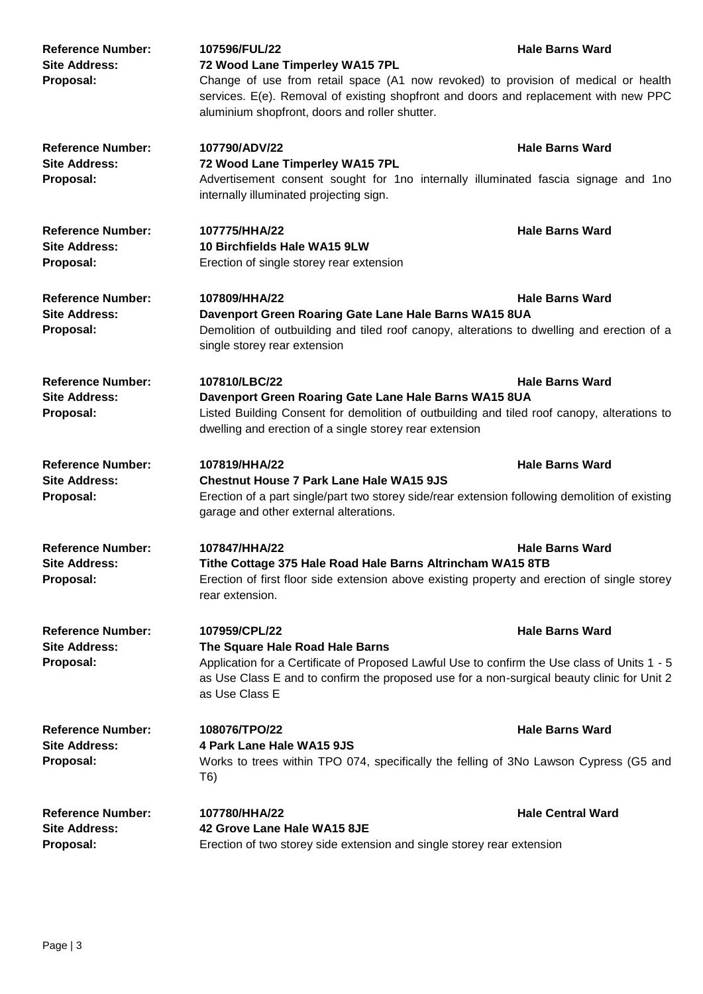| <b>Reference Number:</b><br><b>Site Address:</b><br>Proposal: | 107596/FUL/22<br>72 Wood Lane Timperley WA15 7PL<br>Change of use from retail space (A1 now revoked) to provision of medical or health<br>services. E(e). Removal of existing shopfront and doors and replacement with new PPC<br>aluminium shopfront, doors and roller shutter. | <b>Hale Barns Ward</b>   |
|---------------------------------------------------------------|----------------------------------------------------------------------------------------------------------------------------------------------------------------------------------------------------------------------------------------------------------------------------------|--------------------------|
| <b>Reference Number:</b><br><b>Site Address:</b><br>Proposal: | 107790/ADV/22<br>72 Wood Lane Timperley WA15 7PL<br>Advertisement consent sought for 1no internally illuminated fascia signage and 1no<br>internally illuminated projecting sign.                                                                                                | <b>Hale Barns Ward</b>   |
| <b>Reference Number:</b><br><b>Site Address:</b><br>Proposal: | 107775/HHA/22<br>10 Birchfields Hale WA15 9LW<br>Erection of single storey rear extension                                                                                                                                                                                        | <b>Hale Barns Ward</b>   |
| <b>Reference Number:</b><br><b>Site Address:</b><br>Proposal: | 107809/HHA/22<br>Davenport Green Roaring Gate Lane Hale Barns WA15 8UA<br>Demolition of outbuilding and tiled roof canopy, alterations to dwelling and erection of a<br>single storey rear extension                                                                             | <b>Hale Barns Ward</b>   |
| <b>Reference Number:</b><br><b>Site Address:</b><br>Proposal: | 107810/LBC/22<br><b>Hale Barns Ward</b><br>Davenport Green Roaring Gate Lane Hale Barns WA15 8UA<br>Listed Building Consent for demolition of outbuilding and tiled roof canopy, alterations to<br>dwelling and erection of a single storey rear extension                       |                          |
| <b>Reference Number:</b><br><b>Site Address:</b><br>Proposal: | 107819/HHA/22<br><b>Chestnut House 7 Park Lane Hale WA15 9JS</b><br>Erection of a part single/part two storey side/rear extension following demolition of existing<br>garage and other external alterations.                                                                     | <b>Hale Barns Ward</b>   |
| <b>Reference Number:</b><br><b>Site Address:</b><br>Proposal: | 107847/HHA/22<br>Tithe Cottage 375 Hale Road Hale Barns Altrincham WA15 8TB<br>Erection of first floor side extension above existing property and erection of single storey<br>rear extension.                                                                                   | <b>Hale Barns Ward</b>   |
| <b>Reference Number:</b><br><b>Site Address:</b><br>Proposal: | 107959/CPL/22<br>The Square Hale Road Hale Barns<br>Application for a Certificate of Proposed Lawful Use to confirm the Use class of Units 1 - 5<br>as Use Class E and to confirm the proposed use for a non-surgical beauty clinic for Unit 2<br>as Use Class E                 | <b>Hale Barns Ward</b>   |
| <b>Reference Number:</b><br><b>Site Address:</b><br>Proposal: | 108076/TPO/22<br>4 Park Lane Hale WA15 9JS<br>Works to trees within TPO 074, specifically the felling of 3No Lawson Cypress (G5 and<br>T6)                                                                                                                                       | <b>Hale Barns Ward</b>   |
| <b>Reference Number:</b><br><b>Site Address:</b><br>Proposal: | 107780/HHA/22<br>42 Grove Lane Hale WA15 8JE<br>Erection of two storey side extension and single storey rear extension                                                                                                                                                           | <b>Hale Central Ward</b> |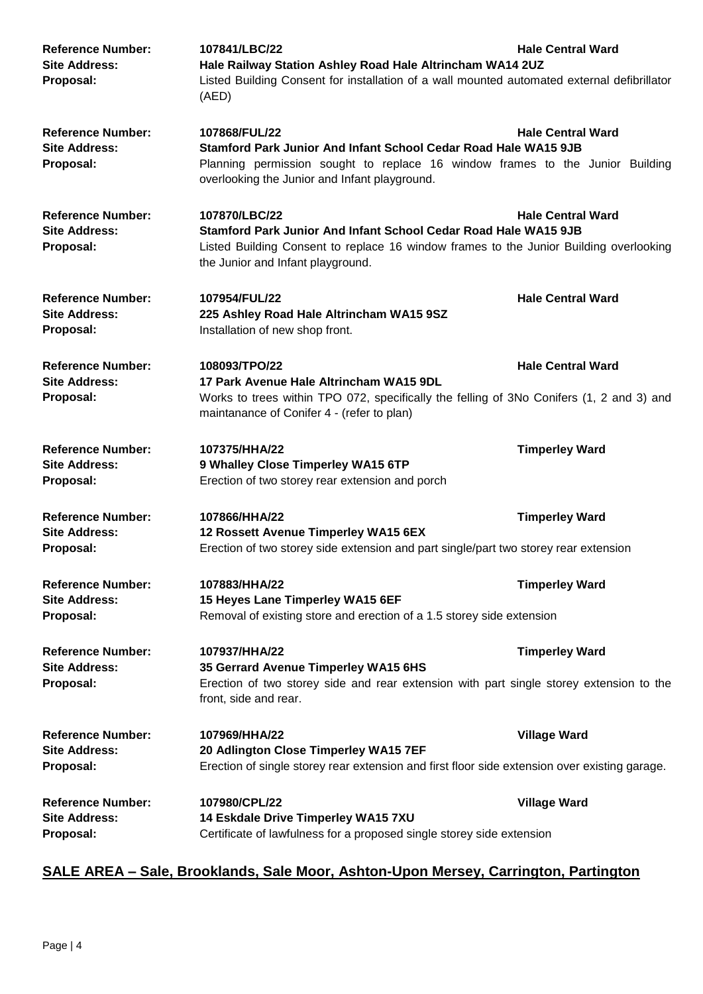| <b>Reference Number:</b><br><b>Site Address:</b><br>Proposal: | 107841/LBC/22<br>Hale Railway Station Ashley Road Hale Altrincham WA14 2UZ<br>Listed Building Consent for installation of a wall mounted automated external defibrillator<br>(AED)                                 | <b>Hale Central Ward</b> |
|---------------------------------------------------------------|--------------------------------------------------------------------------------------------------------------------------------------------------------------------------------------------------------------------|--------------------------|
| <b>Reference Number:</b><br><b>Site Address:</b><br>Proposal: | 107868/FUL/22<br>Stamford Park Junior And Infant School Cedar Road Hale WA15 9JB<br>Planning permission sought to replace 16 window frames to the Junior Building<br>overlooking the Junior and Infant playground. | <b>Hale Central Ward</b> |
| <b>Reference Number:</b><br><b>Site Address:</b><br>Proposal: | 107870/LBC/22<br>Stamford Park Junior And Infant School Cedar Road Hale WA15 9JB<br>Listed Building Consent to replace 16 window frames to the Junior Building overlooking<br>the Junior and Infant playground.    | <b>Hale Central Ward</b> |
| <b>Reference Number:</b><br><b>Site Address:</b><br>Proposal: | 107954/FUL/22<br>225 Ashley Road Hale Altrincham WA15 9SZ<br>Installation of new shop front.                                                                                                                       | <b>Hale Central Ward</b> |
| <b>Reference Number:</b><br><b>Site Address:</b><br>Proposal: | 108093/TPO/22<br>17 Park Avenue Hale Altrincham WA15 9DL<br>Works to trees within TPO 072, specifically the felling of 3No Conifers (1, 2 and 3) and<br>maintanance of Conifer 4 - (refer to plan)                 | <b>Hale Central Ward</b> |
| <b>Reference Number:</b><br><b>Site Address:</b><br>Proposal: | 107375/HHA/22<br>9 Whalley Close Timperley WA15 6TP<br>Erection of two storey rear extension and porch                                                                                                             | <b>Timperley Ward</b>    |
| <b>Reference Number:</b><br><b>Site Address:</b><br>Proposal: | 107866/HHA/22<br>12 Rossett Avenue Timperley WA15 6EX<br>Erection of two storey side extension and part single/part two storey rear extension                                                                      | <b>Timperley Ward</b>    |
| <b>Reference Number:</b><br><b>Site Address:</b><br>Proposal: | 107883/HHA/22<br>15 Heyes Lane Timperley WA15 6EF<br>Removal of existing store and erection of a 1.5 storey side extension                                                                                         | <b>Timperley Ward</b>    |
| <b>Reference Number:</b><br><b>Site Address:</b><br>Proposal: | 107937/HHA/22<br>35 Gerrard Avenue Timperley WA15 6HS<br>Erection of two storey side and rear extension with part single storey extension to the<br>front, side and rear.                                          | <b>Timperley Ward</b>    |
| <b>Reference Number:</b><br><b>Site Address:</b><br>Proposal: | 107969/HHA/22<br>20 Adlington Close Timperley WA15 7EF<br>Erection of single storey rear extension and first floor side extension over existing garage.                                                            | <b>Village Ward</b>      |
| <b>Reference Number:</b><br><b>Site Address:</b><br>Proposal: | 107980/CPL/22<br>14 Eskdale Drive Timperley WA15 7XU<br>Certificate of lawfulness for a proposed single storey side extension                                                                                      | <b>Village Ward</b>      |

# **SALE AREA – Sale, Brooklands, Sale Moor, Ashton-Upon Mersey, Carrington, Partington**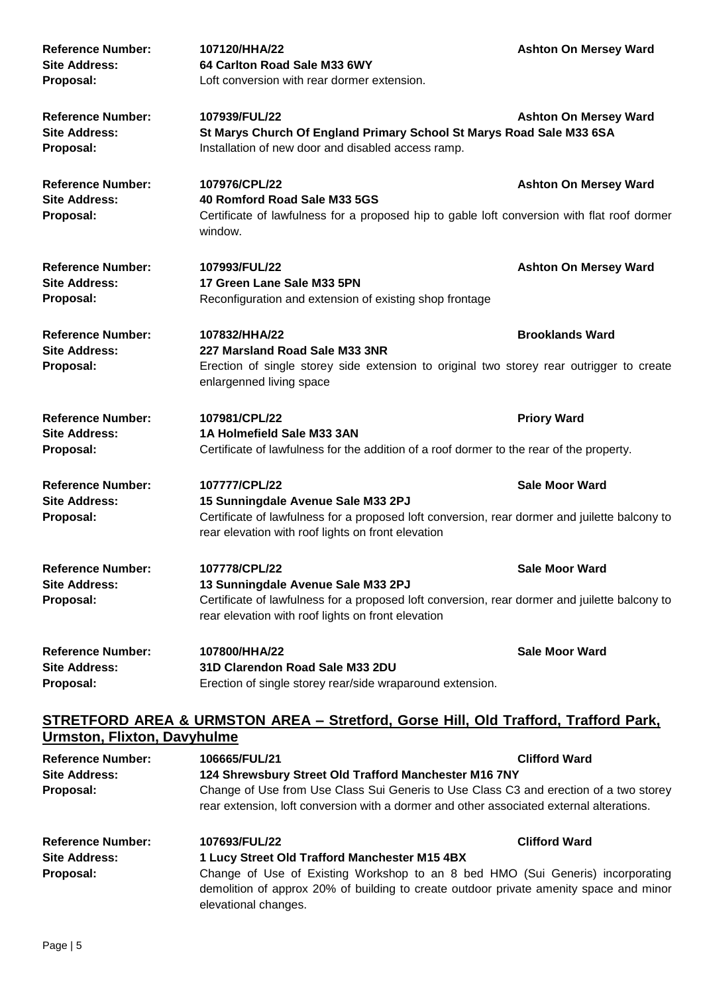| <b>Reference Number:</b><br><b>Site Address:</b><br>Proposal: | 107120/HHA/22<br>64 Carlton Road Sale M33 6WY<br>Loft conversion with rear dormer extension.                                                                                                               | <b>Ashton On Mersey Ward</b> |
|---------------------------------------------------------------|------------------------------------------------------------------------------------------------------------------------------------------------------------------------------------------------------------|------------------------------|
| <b>Reference Number:</b><br><b>Site Address:</b><br>Proposal: | 107939/FUL/22<br>St Marys Church Of England Primary School St Marys Road Sale M33 6SA<br>Installation of new door and disabled access ramp.                                                                | <b>Ashton On Mersey Ward</b> |
| <b>Reference Number:</b><br><b>Site Address:</b><br>Proposal: | 107976/CPL/22<br>40 Romford Road Sale M33 5GS<br>Certificate of lawfulness for a proposed hip to gable loft conversion with flat roof dormer<br>window.                                                    | <b>Ashton On Mersey Ward</b> |
| <b>Reference Number:</b><br><b>Site Address:</b><br>Proposal: | 107993/FUL/22<br>17 Green Lane Sale M33 5PN<br>Reconfiguration and extension of existing shop frontage                                                                                                     | <b>Ashton On Mersey Ward</b> |
| <b>Reference Number:</b><br><b>Site Address:</b><br>Proposal: | 107832/HHA/22<br>227 Marsland Road Sale M33 3NR<br>Erection of single storey side extension to original two storey rear outrigger to create<br>enlargenned living space                                    | <b>Brooklands Ward</b>       |
| <b>Reference Number:</b><br><b>Site Address:</b><br>Proposal: | 107981/CPL/22<br>1A Holmefield Sale M33 3AN<br>Certificate of lawfulness for the addition of a roof dormer to the rear of the property.                                                                    | <b>Priory Ward</b>           |
| <b>Reference Number:</b><br><b>Site Address:</b><br>Proposal: | 107777/CPL/22<br>15 Sunningdale Avenue Sale M33 2PJ<br>Certificate of lawfulness for a proposed loft conversion, rear dormer and juilette balcony to<br>rear elevation with roof lights on front elevation | <b>Sale Moor Ward</b>        |
| <b>Reference Number:</b><br><b>Site Address:</b><br>Proposal: | 107778/CPL/22<br>13 Sunningdale Avenue Sale M33 2PJ<br>Certificate of lawfulness for a proposed loft conversion, rear dormer and juilette balcony to<br>rear elevation with roof lights on front elevation | <b>Sale Moor Ward</b>        |
| <b>Reference Number:</b><br><b>Site Address:</b><br>Proposal: | 107800/HHA/22<br>31D Clarendon Road Sale M33 2DU<br>Erection of single storey rear/side wraparound extension.                                                                                              | <b>Sale Moor Ward</b>        |

## **STRETFORD AREA & URMSTON AREA – Stretford, Gorse Hill, Old Trafford, Trafford Park, Urmston, Flixton, Davyhulme**

| <b>Reference Number:</b><br><b>Site Address:</b><br>Proposal: | 106665/FUL/21<br><b>Clifford Ward</b><br>124 Shrewsbury Street Old Trafford Manchester M16 7NY<br>Change of Use from Use Class Sui Generis to Use Class C3 and erection of a two storey<br>rear extension, loft conversion with a dormer and other associated external alterations. |                      |
|---------------------------------------------------------------|-------------------------------------------------------------------------------------------------------------------------------------------------------------------------------------------------------------------------------------------------------------------------------------|----------------------|
| <b>Reference Number:</b><br><b>Site Address:</b><br>Proposal: | 107693/FUL/22<br>1 Lucy Street Old Trafford Manchester M15 4BX<br>Change of Use of Existing Workshop to an 8 bed HMO (Sui Generis) incorporating<br>demolition of approx 20% of building to create outdoor private amenity space and minor<br>elevational changes.                  | <b>Clifford Ward</b> |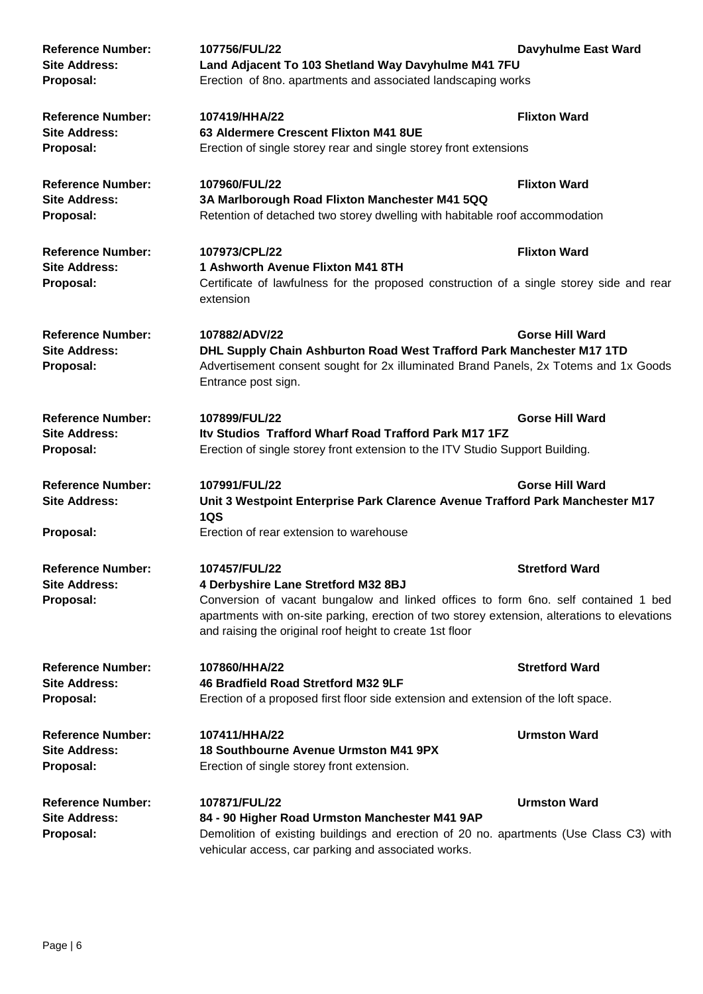| <b>Reference Number:</b><br><b>Site Address:</b><br>Proposal: | 107756/FUL/22<br>Land Adjacent To 103 Shetland Way Davyhulme M41 7FU<br>Erection of 8no. apartments and associated landscaping works                                                                                                                                                                   | <b>Davyhulme East Ward</b> |
|---------------------------------------------------------------|--------------------------------------------------------------------------------------------------------------------------------------------------------------------------------------------------------------------------------------------------------------------------------------------------------|----------------------------|
| <b>Reference Number:</b><br><b>Site Address:</b><br>Proposal: | 107419/HHA/22<br>63 Aldermere Crescent Flixton M41 8UE<br>Erection of single storey rear and single storey front extensions                                                                                                                                                                            | <b>Flixton Ward</b>        |
| <b>Reference Number:</b><br><b>Site Address:</b><br>Proposal: | 107960/FUL/22<br>3A Marlborough Road Flixton Manchester M41 5QQ<br>Retention of detached two storey dwelling with habitable roof accommodation                                                                                                                                                         | <b>Flixton Ward</b>        |
| <b>Reference Number:</b><br><b>Site Address:</b><br>Proposal: | 107973/CPL/22<br>1 Ashworth Avenue Flixton M41 8TH<br>Certificate of lawfulness for the proposed construction of a single storey side and rear<br>extension                                                                                                                                            | <b>Flixton Ward</b>        |
| <b>Reference Number:</b><br><b>Site Address:</b><br>Proposal: | 107882/ADV/22<br><b>Gorse Hill Ward</b><br>DHL Supply Chain Ashburton Road West Trafford Park Manchester M17 1TD<br>Advertisement consent sought for 2x illuminated Brand Panels, 2x Totems and 1x Goods<br>Entrance post sign.                                                                        |                            |
| <b>Reference Number:</b><br><b>Site Address:</b><br>Proposal: | 107899/FUL/22<br>Itv Studios Trafford Wharf Road Trafford Park M17 1FZ<br>Erection of single storey front extension to the ITV Studio Support Building.                                                                                                                                                | <b>Gorse Hill Ward</b>     |
| <b>Reference Number:</b><br><b>Site Address:</b><br>Proposal: | 107991/FUL/22<br>Unit 3 Westpoint Enterprise Park Clarence Avenue Trafford Park Manchester M17<br>1QS<br>Erection of rear extension to warehouse                                                                                                                                                       | <b>Gorse Hill Ward</b>     |
| <b>Reference Number:</b><br><b>Site Address:</b><br>Proposal: | 107457/FUL/22<br>4 Derbyshire Lane Stretford M32 8BJ<br>Conversion of vacant bungalow and linked offices to form 6no. self contained 1 bed<br>apartments with on-site parking, erection of two storey extension, alterations to elevations<br>and raising the original roof height to create 1st floor | <b>Stretford Ward</b>      |
| <b>Reference Number:</b><br><b>Site Address:</b><br>Proposal: | 107860/HHA/22<br>46 Bradfield Road Stretford M32 9LF<br>Erection of a proposed first floor side extension and extension of the loft space.                                                                                                                                                             | <b>Stretford Ward</b>      |
| <b>Reference Number:</b><br><b>Site Address:</b><br>Proposal: | 107411/HHA/22<br><b>18 Southbourne Avenue Urmston M41 9PX</b><br>Erection of single storey front extension.                                                                                                                                                                                            | <b>Urmston Ward</b>        |
| <b>Reference Number:</b><br><b>Site Address:</b><br>Proposal: | 107871/FUL/22<br>84 - 90 Higher Road Urmston Manchester M41 9AP<br>Demolition of existing buildings and erection of 20 no. apartments (Use Class C3) with<br>vehicular access, car parking and associated works.                                                                                       | <b>Urmston Ward</b>        |